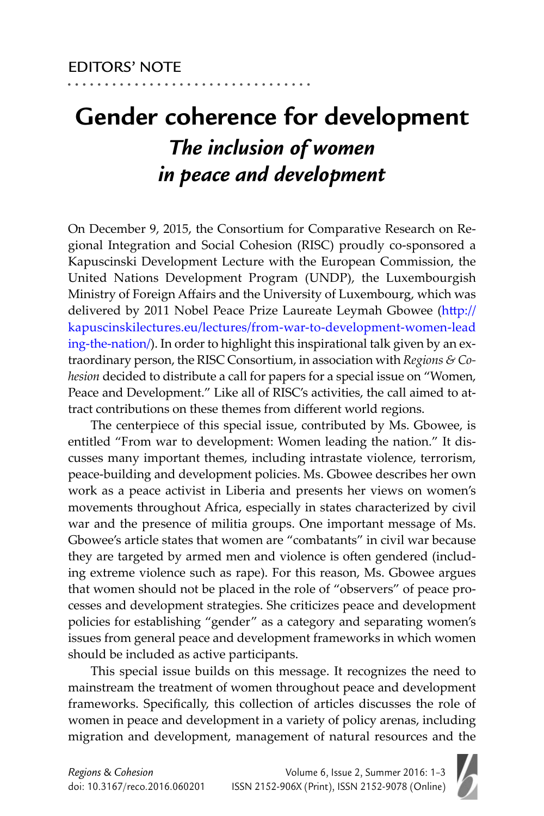## **Gender coherence for development** *The inclusion of women in peace and development*

On December 9, 2015, the Consortium for Comparative Research on Regional Integration and Social Cohesion (RISC) proudly co-sponsored a Kapuscinski Development Lecture with the European Commission, the United Nations Development Program (UNDP), the Luxembourgish Ministry of Foreign Affairs and the University of Luxembourg, which was delivered by 2011 Nobel Peace Prize Laureate Leymah Gbowee (http:// [kapuscinskilectures.eu/lectures/from-war-to-development-women-lead](http://kapuscinskilectures.eu/lectures/from-war-to-development-women-leading-the-nation/) [ing-the-nation/\)](http://kapuscinskilectures.eu/lectures/from-war-to-development-women-leading-the-nation/). In order to highlight this inspirational talk given by an extraordinary person, the RISC Consortium, in association with *Regions & Cohesion* decided to distribute a call for papers for a special issue on "Women, Peace and Development." Like all of RISC's activities, the call aimed to attract contributions on these themes from different world regions.

The centerpiece of this special issue, contributed by Ms. Gbowee, is entitled "From war to development: Women leading the nation." It discusses many important themes, including intrastate violence, terrorism, peace-building and development policies. Ms. Gbowee describes her own work as a peace activist in Liberia and presents her views on women's movements throughout Africa, especially in states characterized by civil war and the presence of militia groups. One important message of Ms. Gbowee's article states that women are "combatants" in civil war because they are targeted by armed men and violence is often gendered (including extreme violence such as rape). For this reason, Ms. Gbowee argues that women should not be placed in the role of "observers" of peace processes and development strategies. She criticizes peace and development policies for establishing "gender" as a category and separating women's issues from general peace and development frameworks in which women should be included as active participants.

This special issue builds on this message. It recognizes the need to mainstream the treatment of women throughout peace and development frameworks. Specifically, this collection of articles discusses the role of women in peace and development in a variety of policy arenas, including migration and development, management of natural resources and the

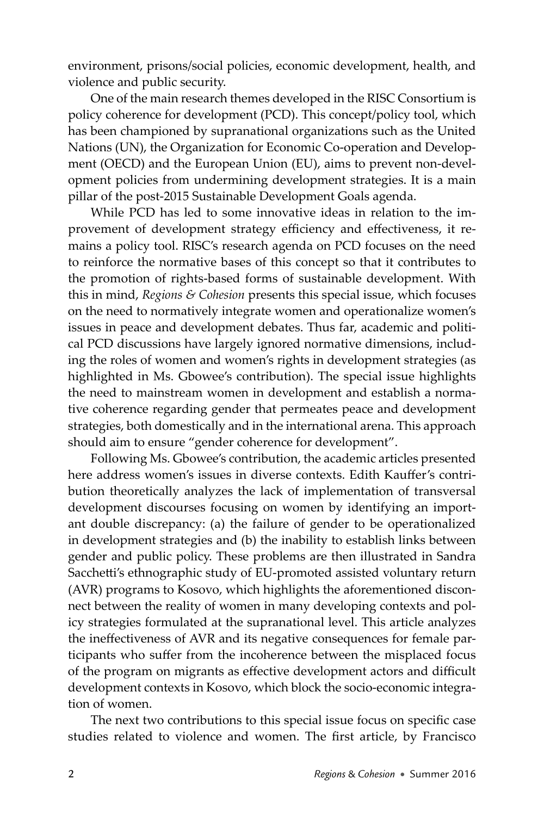environment, prisons/social policies, economic development, health, and violence and public security.

One of the main research themes developed in the RISC Consortium is policy coherence for development (PCD). This concept/policy tool, which has been championed by supranational organizations such as the United Nations (UN), the Organization for Economic Co-operation and Development (OECD) and the European Union (EU), aims to prevent non-development policies from undermining development strategies. It is a main pillar of the post-2015 Sustainable Development Goals agenda.

While PCD has led to some innovative ideas in relation to the improvement of development strategy efficiency and effectiveness, it remains a policy tool. RISC's research agenda on PCD focuses on the need to reinforce the normative bases of this concept so that it contributes to the promotion of rights-based forms of sustainable development. With this in mind, *Regions & Cohesion* presents this special issue, which focuses on the need to normatively integrate women and operationalize women's issues in peace and development debates. Thus far, academic and political PCD discussions have largely ignored normative dimensions, including the roles of women and women's rights in development strategies (as highlighted in Ms. Gbowee's contribution). The special issue highlights the need to mainstream women in development and establish a normative coherence regarding gender that permeates peace and development strategies, both domestically and in the international arena. This approach should aim to ensure "gender coherence for development".

Following Ms. Gbowee's contribution, the academic articles presented here address women's issues in diverse contexts. Edith Kauffer's contribution theoretically analyzes the lack of implementation of transversal development discourses focusing on women by identifying an important double discrepancy: (a) the failure of gender to be operationalized in development strategies and (b) the inability to establish links between gender and public policy. These problems are then illustrated in Sandra Sacchetti's ethnographic study of EU-promoted assisted voluntary return (AVR) programs to Kosovo, which highlights the aforementioned disconnect between the reality of women in many developing contexts and policy strategies formulated at the supranational level. This article analyzes the ineffectiveness of AVR and its negative consequences for female participants who suffer from the incoherence between the misplaced focus of the program on migrants as effective development actors and difficult development contexts in Kosovo, which block the socio-economic integration of women.

The next two contributions to this special issue focus on specific case studies related to violence and women. The first article, by Francisco